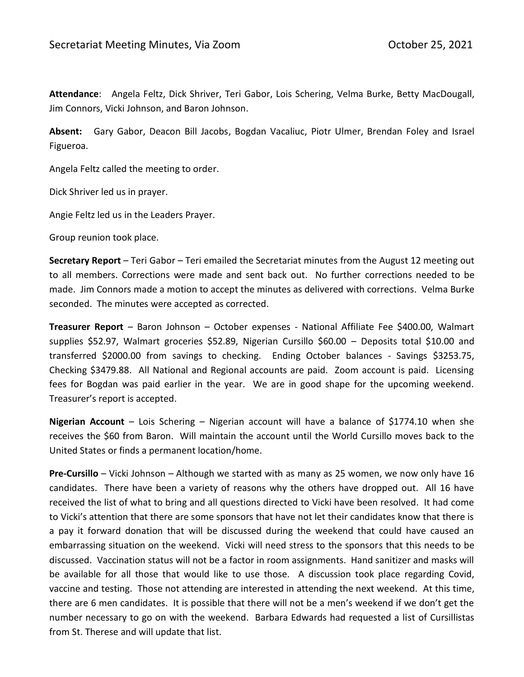**Attendance**: Angela Feltz, Dick Shriver, Teri Gabor, Lois Schering, Velma Burke, Betty MacDougall, Jim Connors, Vicki Johnson, and Baron Johnson.

**Absent:** Gary Gabor, Deacon Bill Jacobs, Bogdan Vacaliuc, Piotr Ulmer, Brendan Foley and Israel Figueroa.

Angela Feltz called the meeting to order.

Dick Shriver led us in prayer.

Angie Feltz led us in the Leaders Prayer.

Group reunion took place.

**Secretary Report** – Teri Gabor – Teri emailed the Secretariat minutes from the August 12 meeting out to all members. Corrections were made and sent back out. No further corrections needed to be made. Jim Connors made a motion to accept the minutes as delivered with corrections. Velma Burke seconded. The minutes were accepted as corrected.

**Treasurer Report** – Baron Johnson – October expenses - National Affiliate Fee \$400.00, Walmart supplies \$52.97, Walmart groceries \$52.89, Nigerian Cursillo \$60.00 – Deposits total \$10.00 and transferred \$2000.00 from savings to checking. Ending October balances - Savings \$3253.75, Checking \$3479.88. All National and Regional accounts are paid. Zoom account is paid. Licensing fees for Bogdan was paid earlier in the year. We are in good shape for the upcoming weekend. Treasurer's report is accepted.

**Nigerian Account** – Lois Schering – Nigerian account will have a balance of \$1774.10 when she receives the \$60 from Baron. Will maintain the account until the World Cursillo moves back to the United States or finds a permanent location/home.

**Pre-Cursillo** – Vicki Johnson – Although we started with as many as 25 women, we now only have 16 candidates. There have been a variety of reasons why the others have dropped out. All 16 have received the list of what to bring and all questions directed to Vicki have been resolved. It had come to Vicki's attention that there are some sponsors that have not let their candidates know that there is a pay it forward donation that will be discussed during the weekend that could have caused an embarrassing situation on the weekend. Vicki will need stress to the sponsors that this needs to be discussed. Vaccination status will not be a factor in room assignments. Hand sanitizer and masks will be available for all those that would like to use those. A discussion took place regarding Covid, vaccine and testing. Those not attending are interested in attending the next weekend. At this time, there are 6 men candidates. It is possible that there will not be a men's weekend if we don't get the number necessary to go on with the weekend. Barbara Edwards had requested a list of Cursillistas from St. Therese and will update that list.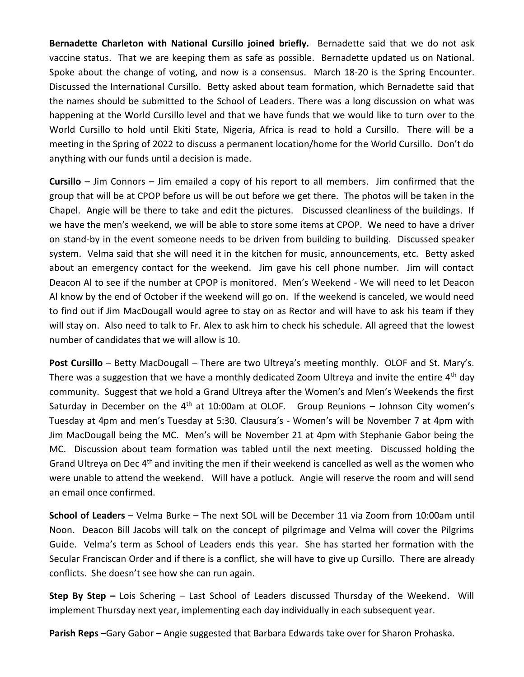**Bernadette Charleton with National Cursillo joined briefly.** Bernadette said that we do not ask vaccine status. That we are keeping them as safe as possible. Bernadette updated us on National. Spoke about the change of voting, and now is a consensus. March 18-20 is the Spring Encounter. Discussed the International Cursillo. Betty asked about team formation, which Bernadette said that the names should be submitted to the School of Leaders. There was a long discussion on what was happening at the World Cursillo level and that we have funds that we would like to turn over to the World Cursillo to hold until Ekiti State, Nigeria, Africa is read to hold a Cursillo. There will be a meeting in the Spring of 2022 to discuss a permanent location/home for the World Cursillo. Don't do anything with our funds until a decision is made.

**Cursillo** – Jim Connors – Jim emailed a copy of his report to all members. Jim confirmed that the group that will be at CPOP before us will be out before we get there. The photos will be taken in the Chapel. Angie will be there to take and edit the pictures. Discussed cleanliness of the buildings. If we have the men's weekend, we will be able to store some items at CPOP. We need to have a driver on stand-by in the event someone needs to be driven from building to building. Discussed speaker system. Velma said that she will need it in the kitchen for music, announcements, etc. Betty asked about an emergency contact for the weekend. Jim gave his cell phone number. Jim will contact Deacon Al to see if the number at CPOP is monitored. Men's Weekend - We will need to let Deacon Al know by the end of October if the weekend will go on. If the weekend is canceled, we would need to find out if Jim MacDougall would agree to stay on as Rector and will have to ask his team if they will stay on. Also need to talk to Fr. Alex to ask him to check his schedule. All agreed that the lowest number of candidates that we will allow is 10.

**Post Cursillo** – Betty MacDougall – There are two Ultreya's meeting monthly. OLOF and St. Mary's. There was a suggestion that we have a monthly dedicated Zoom Ultreya and invite the entire 4<sup>th</sup> day community. Suggest that we hold a Grand Ultreya after the Women's and Men's Weekends the first Saturday in December on the  $4<sup>th</sup>$  at 10:00am at OLOF. Group Reunions – Johnson City women's Tuesday at 4pm and men's Tuesday at 5:30. Clausura's - Women's will be November 7 at 4pm with Jim MacDougall being the MC. Men's will be November 21 at 4pm with Stephanie Gabor being the MC. Discussion about team formation was tabled until the next meeting. Discussed holding the Grand Ultreya on Dec 4<sup>th</sup> and inviting the men if their weekend is cancelled as well as the women who were unable to attend the weekend. Will have a potluck. Angie will reserve the room and will send an email once confirmed.

**School of Leaders** – Velma Burke – The next SOL will be December 11 via Zoom from 10:00am until Noon. Deacon Bill Jacobs will talk on the concept of pilgrimage and Velma will cover the Pilgrims Guide. Velma's term as School of Leaders ends this year. She has started her formation with the Secular Franciscan Order and if there is a conflict, she will have to give up Cursillo. There are already conflicts. She doesn't see how she can run again.

**Step By Step –** Lois Schering – Last School of Leaders discussed Thursday of the Weekend. Will implement Thursday next year, implementing each day individually in each subsequent year.

**Parish Reps** –Gary Gabor – Angie suggested that Barbara Edwards take over for Sharon Prohaska.